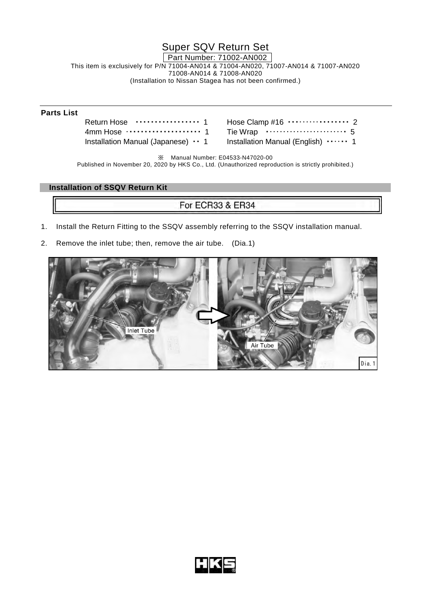Super SQV Return Set

Part Number: 71002-AN002

This item is exclusively for P/N 71004-AN014 & 71004-AN020, 71007-AN014 & 71007-AN020 71008-AN014 & 71008-AN020 (Installation to Nissan Stagea has not been confirmed.)

## **Parts List**

Return Hose ················· 1 4mm Hose ···················· 1 Installation Manual (Japanese) • • 1

| Installation Manual (English) $\cdots$ 1 |  |
|------------------------------------------|--|

※ Manual Number: E04533-N47020-00

Published in November 20, 2020 by HKS Co., Ltd. (Unauthorized reproduction is strictly prohibited.)

## **Installation of SSQV Return Kit**

## For ECR33 & ER34

- 1. Install the Return Fitting to the SSQV assembly referring to the SSQV installation manual.
- 2. Remove the inlet tube; then, remove the air tube. (Dia.1)



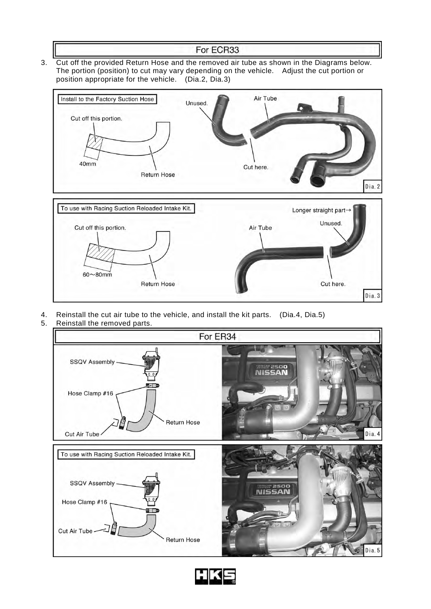## For ECR33

3. Cut off the provided Return Hose and the removed air tube as shown in the Diagrams below. The portion (position) to cut may vary depending on the vehicle. Adjust the cut portion or position appropriate for the vehicle. (Dia.2, Dia.3)



- 4. Reinstall the cut air tube to the vehicle, and install the kit parts. (Dia.4, Dia.5)
- 5. Reinstall the removed parts.



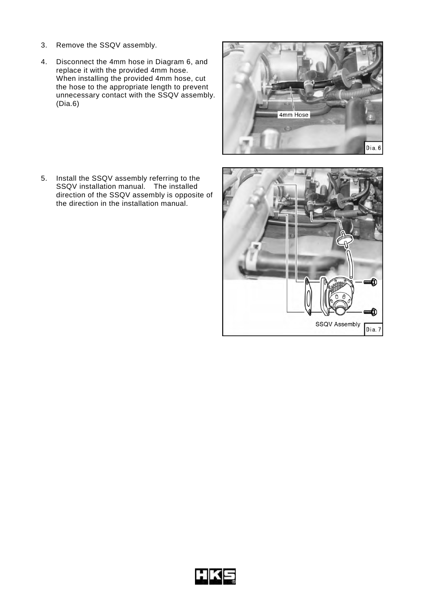- 3. Remove the SSQV assembly.
- 4. Disconnect the 4mm hose in Diagram 6, and replace it with the provided 4mm hose. When installing the provided 4mm hose, cut the hose to the appropriate length to prevent unnecessary contact with the SSQV assembly. (Dia.6)

5. Install the SSQV assembly referring to the SSQV installation manual. The installed direction of the SSQV assembly is opposite of the direction in the installation manual.